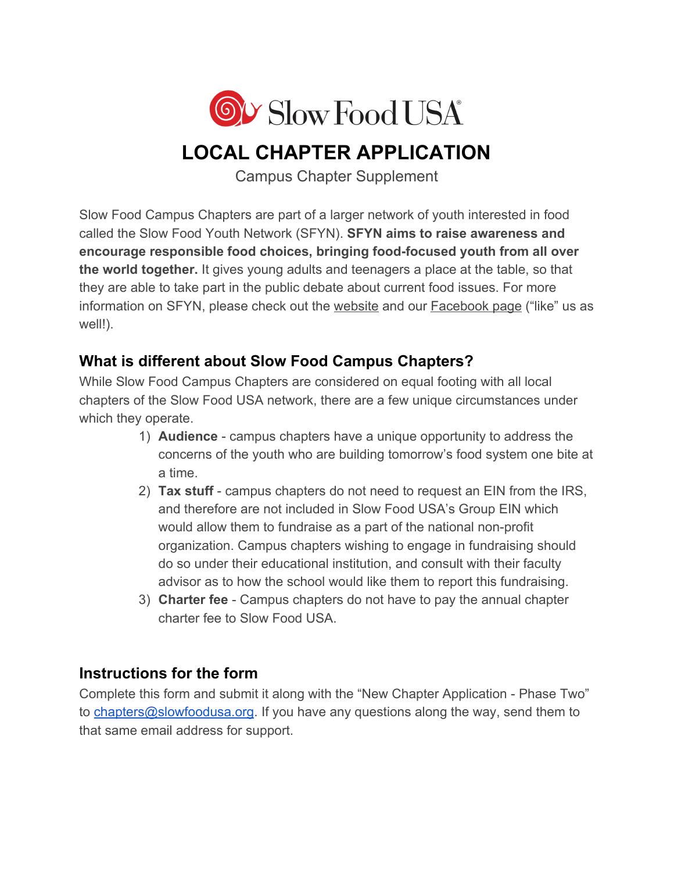

# **LOCAL CHAPTER APPLICATION**

Campus Chapter Supplement

Slow Food Campus Chapters are part of a larger network of youth interested in food called the Slow Food Youth Network (SFYN). **SFYN aims to raise awareness and encourage responsible food choices, bringing food-focused youth from all over the world together.** It gives young adults and teenagers a place at the table, so that they are able to take part in the public debate about current food issues. For more information on SFYN, please check out the [website](http://www.slowfoodyouthnetwork.org/) and our **Facebook page** ("like" us as well!).

## **What is different about Slow Food Campus Chapters?**

While Slow Food Campus Chapters are considered on equal footing with all local chapters of the Slow Food USA network, there are a few unique circumstances under which they operate.

- 1) **Audience** campus chapters have a unique opportunity to address the concerns of the youth who are building tomorrow's food system one bite at a time.
- 2) **Tax stuff** campus chapters do not need to request an EIN from the IRS, and therefore are not included in Slow Food USA's Group EIN which would allow them to fundraise as a part of the national non-profit organization. Campus chapters wishing to engage in fundraising should do so under their educational institution, and consult with their faculty advisor as to how the school would like them to report this fundraising.
- 3) **Charter fee** Campus chapters do not have to pay the annual chapter charter fee to Slow Food USA.

## **Instructions for the form**

Complete this form and submit it along with the "New Chapter Application - Phase Two" to [chapters@slowfoodusa.org.](mailto:chapters@slowfoodusa.org) If you have any questions along the way, send them to that same email address for support.